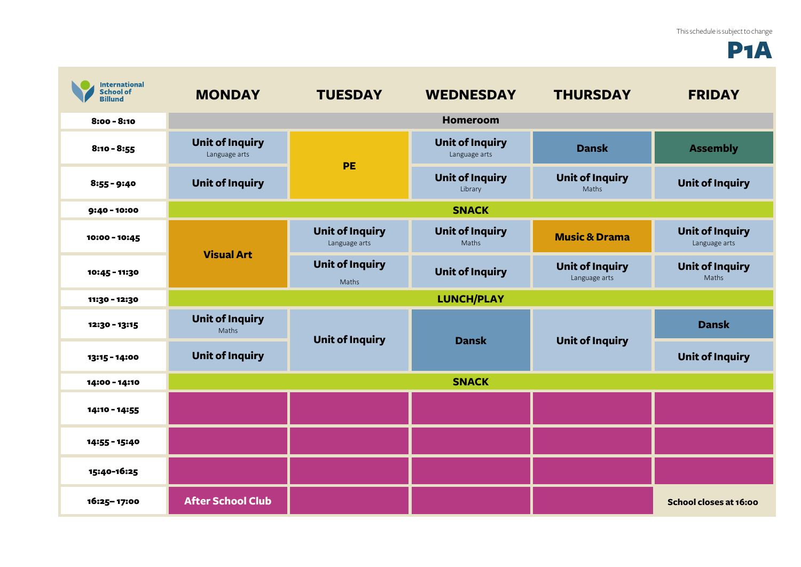## P1A

| <b>International</b><br><b>School of</b><br><b>Billund</b> | <b>MONDAY</b>                           | <b>TUESDAY</b>                          | <b>WEDNESDAY</b>                        | <b>THURSDAY</b>                         | <b>FRIDAY</b>                           |
|------------------------------------------------------------|-----------------------------------------|-----------------------------------------|-----------------------------------------|-----------------------------------------|-----------------------------------------|
| $8:00 - 8:10$                                              |                                         |                                         | <b>Homeroom</b>                         |                                         |                                         |
| $8:10 - 8:55$                                              | <b>Unit of Inquiry</b><br>Language arts | PE                                      | <b>Unit of Inquiry</b><br>Language arts | <b>Dansk</b>                            | <b>Assembly</b>                         |
| $8:55 - 9:40$                                              | <b>Unit of Inquiry</b>                  |                                         | <b>Unit of Inquiry</b><br>Library       | <b>Unit of Inquiry</b><br>Maths         | <b>Unit of Inquiry</b>                  |
| $9:40 - 10:00$                                             |                                         |                                         | <b>SNACK</b>                            |                                         |                                         |
| 10:00 - 10:45                                              | <b>Visual Art</b>                       | <b>Unit of Inquiry</b><br>Language arts | <b>Unit of Inquiry</b><br>Maths         | <b>Music &amp; Drama</b>                | <b>Unit of Inquiry</b><br>Language arts |
| 10:45 - 11:30                                              |                                         | <b>Unit of Inquiry</b><br>Maths         | <b>Unit of Inquiry</b>                  | <b>Unit of Inquiry</b><br>Language arts | <b>Unit of Inquiry</b><br>Maths         |
| 11:30 - 12:30                                              |                                         |                                         | <b>LUNCH/PLAY</b>                       |                                         |                                         |
| 12:30 - 13:15                                              | <b>Unit of Inquiry</b><br>Maths         | <b>Unit of Inquiry</b>                  | <b>Dansk</b>                            | <b>Unit of Inquiry</b>                  | <b>Dansk</b>                            |
| 13:15 - 14:00                                              | <b>Unit of Inquiry</b>                  |                                         |                                         |                                         | <b>Unit of Inquiry</b>                  |
| 14:00 - 14:10                                              | <b>SNACK</b>                            |                                         |                                         |                                         |                                         |
| 14:10 - 14:55                                              |                                         |                                         |                                         |                                         |                                         |
| 14:55 - 15:40                                              |                                         |                                         |                                         |                                         |                                         |
| 15:40-16:25                                                |                                         |                                         |                                         |                                         |                                         |
| 16:25-17:00                                                | <b>After School Club</b>                |                                         |                                         |                                         | School closes at 16:00                  |